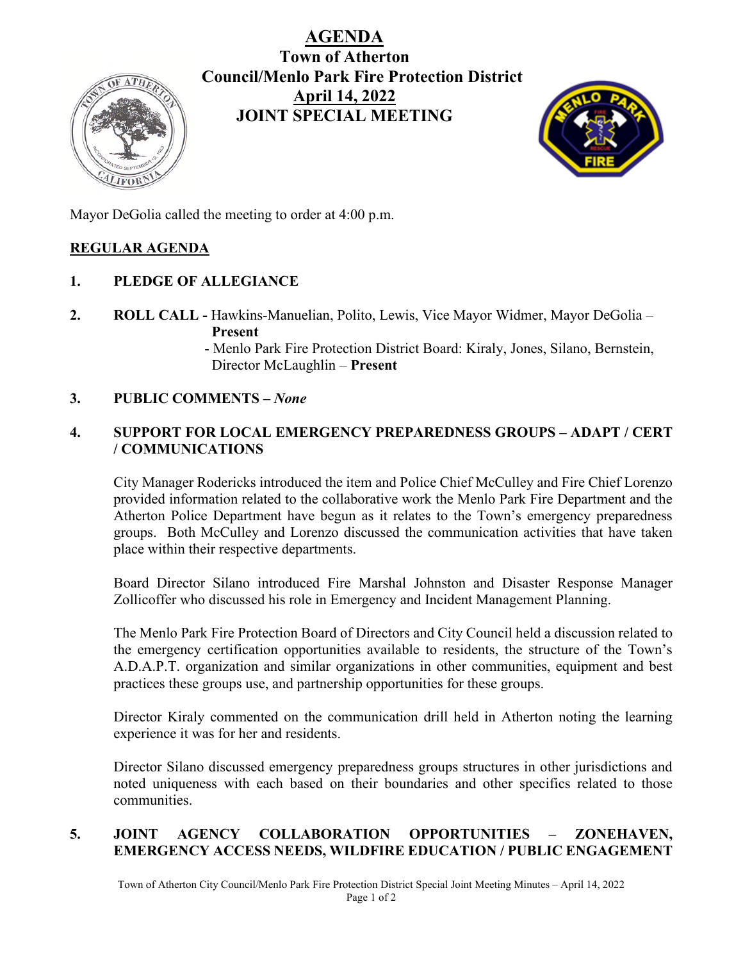# **AGENDA**



**Town of Atherton Council/Menlo Park Fire Protection District April 14, 2022 JOINT SPECIAL MEETING**



Mayor DeGolia called the meeting to order at 4:00 p.m.

# **REGULAR AGENDA**

# **1. PLEDGE OF ALLEGIANCE**

- **2. ROLL CALL -** Hawkins-Manuelian, Polito, Lewis, Vice Mayor Widmer, Mayor DeGolia **Present** 
	- Menlo Park Fire Protection District Board: Kiraly, Jones, Silano, Bernstein, Director McLaughlin – **Present**

# **3. PUBLIC COMMENTS –** *None*

# **4. SUPPORT FOR LOCAL EMERGENCY PREPAREDNESS GROUPS – ADAPT / CERT / COMMUNICATIONS**

City Manager Rodericks introduced the item and Police Chief McCulley and Fire Chief Lorenzo provided information related to the collaborative work the Menlo Park Fire Department and the Atherton Police Department have begun as it relates to the Town's emergency preparedness groups. Both McCulley and Lorenzo discussed the communication activities that have taken place within their respective departments.

Board Director Silano introduced Fire Marshal Johnston and Disaster Response Manager Zollicoffer who discussed his role in Emergency and Incident Management Planning.

The Menlo Park Fire Protection Board of Directors and City Council held a discussion related to the emergency certification opportunities available to residents, the structure of the Town's A.D.A.P.T. organization and similar organizations in other communities, equipment and best practices these groups use, and partnership opportunities for these groups.

Director Kiraly commented on the communication drill held in Atherton noting the learning experience it was for her and residents.

Director Silano discussed emergency preparedness groups structures in other jurisdictions and noted uniqueness with each based on their boundaries and other specifics related to those communities.

# **5. JOINT AGENCY COLLABORATION OPPORTUNITIES – ZONEHAVEN, EMERGENCY ACCESS NEEDS, WILDFIRE EDUCATION / PUBLIC ENGAGEMENT**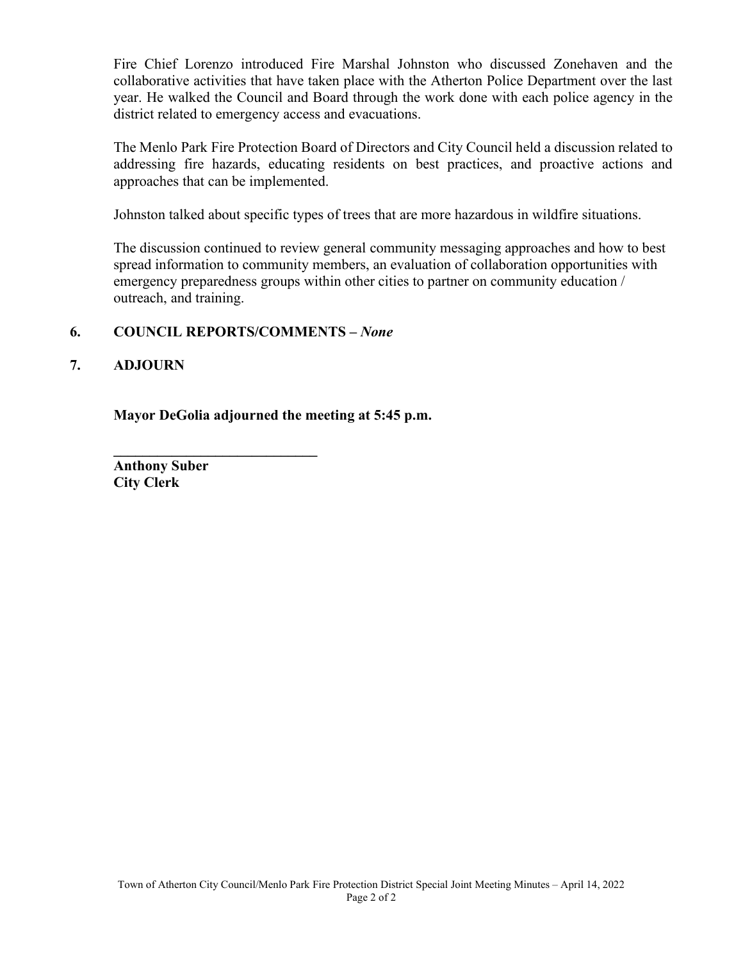Fire Chief Lorenzo introduced Fire Marshal Johnston who discussed Zonehaven and the collaborative activities that have taken place with the Atherton Police Department over the last year. He walked the Council and Board through the work done with each police agency in the district related to emergency access and evacuations.

The Menlo Park Fire Protection Board of Directors and City Council held a discussion related to addressing fire hazards, educating residents on best practices, and proactive actions and approaches that can be implemented.

Johnston talked about specific types of trees that are more hazardous in wildfire situations.

The discussion continued to review general community messaging approaches and how to best spread information to community members, an evaluation of collaboration opportunities with emergency preparedness groups within other cities to partner on community education / outreach, and training.

# **6. COUNCIL REPORTS/COMMENTS –** *None*

**\_\_\_\_\_\_\_\_\_\_\_\_\_\_\_\_\_\_\_\_\_\_\_\_\_\_\_\_**

# **7. ADJOURN**

**Mayor DeGolia adjourned the meeting at 5:45 p.m.**

**Anthony Suber City Clerk**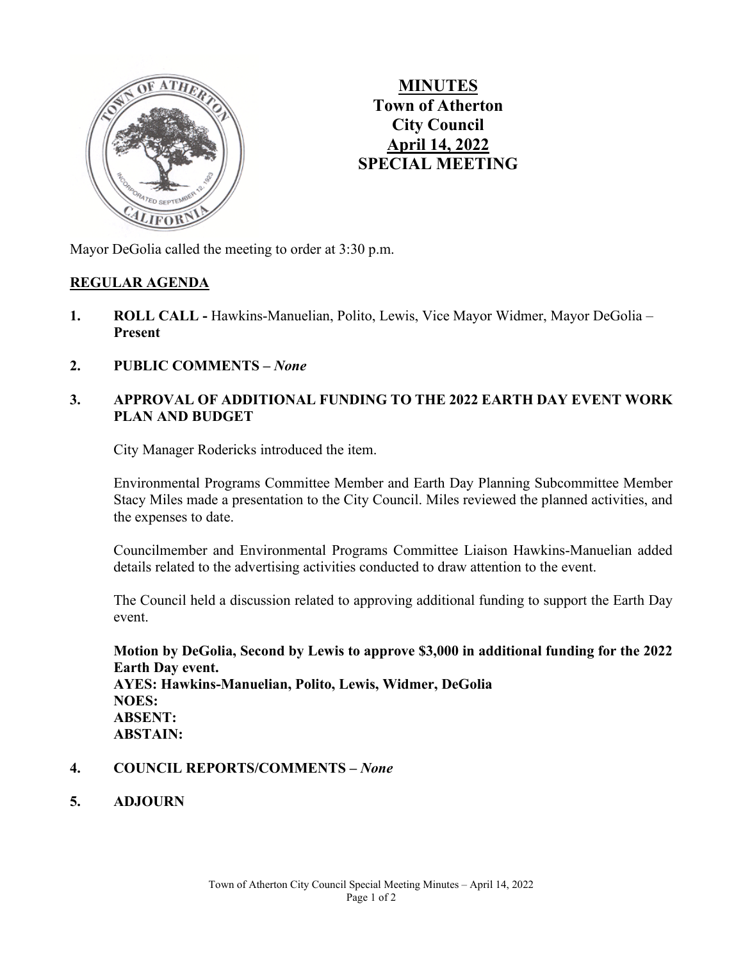

**MINUTES Town of Atherton City Council April 14, 2022 SPECIAL MEETING**

Mayor DeGolia called the meeting to order at 3:30 p.m.

#### **REGULAR AGENDA**

- **1. ROLL CALL -** Hawkins-Manuelian, Polito, Lewis, Vice Mayor Widmer, Mayor DeGolia **Present**
- **2. PUBLIC COMMENTS –** *None*

# **3. APPROVAL OF ADDITIONAL FUNDING TO THE 2022 EARTH DAY EVENT WORK PLAN AND BUDGET**

City Manager Rodericks introduced the item.

Environmental Programs Committee Member and Earth Day Planning Subcommittee Member Stacy Miles made a presentation to the City Council. Miles reviewed the planned activities, and the expenses to date.

Councilmember and Environmental Programs Committee Liaison Hawkins-Manuelian added details related to the advertising activities conducted to draw attention to the event.

The Council held a discussion related to approving additional funding to support the Earth Day event.

**Motion by DeGolia, Second by Lewis to approve \$3,000 in additional funding for the 2022 Earth Day event. AYES: Hawkins-Manuelian, Polito, Lewis, Widmer, DeGolia NOES: ABSENT: ABSTAIN:** 

- **4. COUNCIL REPORTS/COMMENTS –** *None*
- **5. ADJOURN**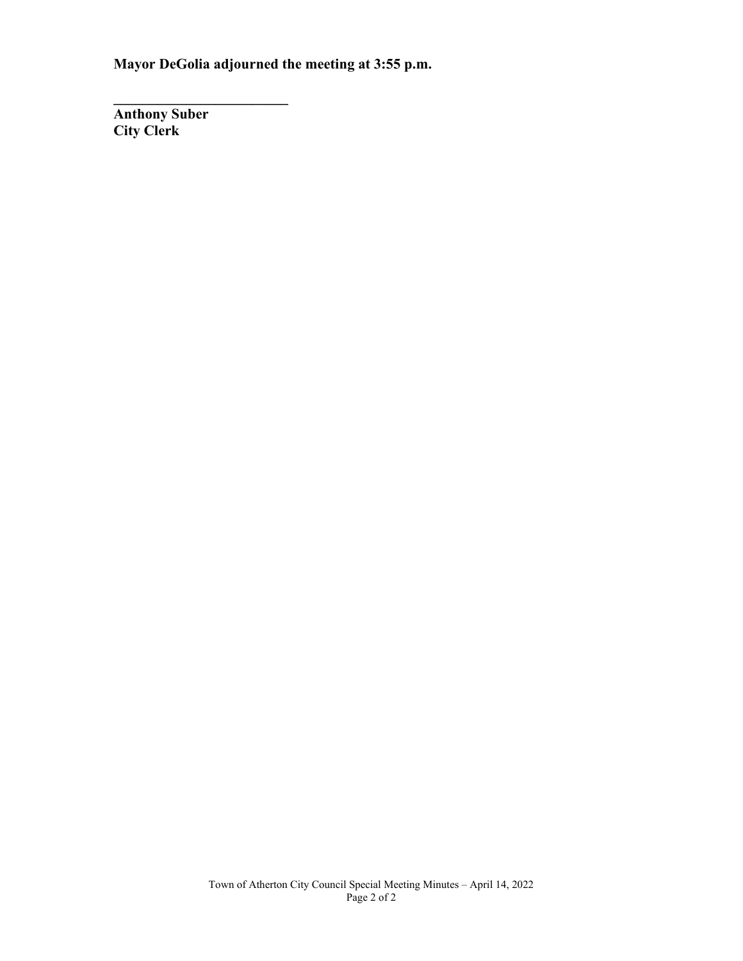**Mayor DeGolia adjourned the meeting at 3:55 p.m.**

**Anthony Suber City Clerk**

**\_\_\_\_\_\_\_\_\_\_\_\_\_\_\_\_\_\_\_\_\_\_\_\_**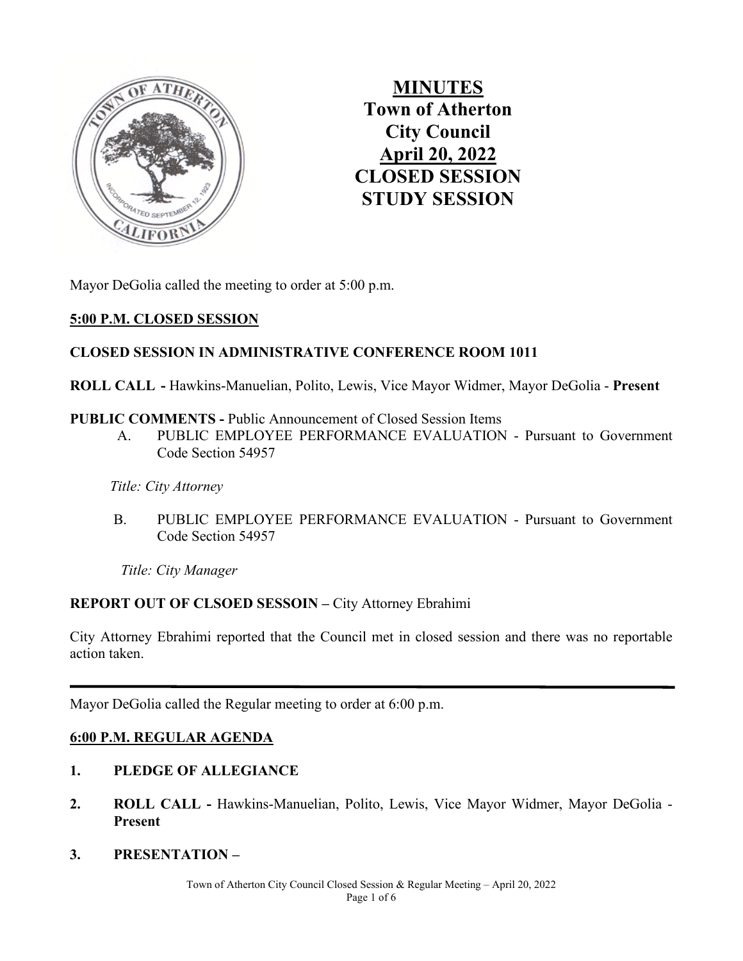

**MINUTES Town of Atherton City Council April 20, 2022 CLOSED SESSION STUDY SESSION** 

Mayor DeGolia called the meeting to order at 5:00 p.m.

# **5:00 P.M. CLOSED SESSION**

# **CLOSED SESSION IN ADMINISTRATIVE CONFERENCE ROOM 1011**

**ROLL CALL -** Hawkins-Manuelian, Polito, Lewis, Vice Mayor Widmer, Mayor DeGolia - **Present**

#### **PUBLIC COMMENTS -** Public Announcement of Closed Session Items

 A. PUBLIC EMPLOYEE PERFORMANCE EVALUATION - Pursuant to Government Code Section 54957

 *Title: City Attorney*

**B. PUBLIC EMPLOYEE PERFORMANCE EVALUATION - Pursuant to Government** Code Section 54957

 *Title: City Manager*

# **REPORT OUT OF CLSOED SESSOIN –** City Attorney Ebrahimi

City Attorney Ebrahimi reported that the Council met in closed session and there was no reportable action taken.

Mayor DeGolia called the Regular meeting to order at 6:00 p.m.

# **6:00 P.M. REGULAR AGENDA**

# **1. PLEDGE OF ALLEGIANCE**

- **2. ROLL CALL** Hawkins-Manuelian, Polito, Lewis, Vice Mayor Widmer, Mayor DeGolia **Present**
- **3. PRESENTATION**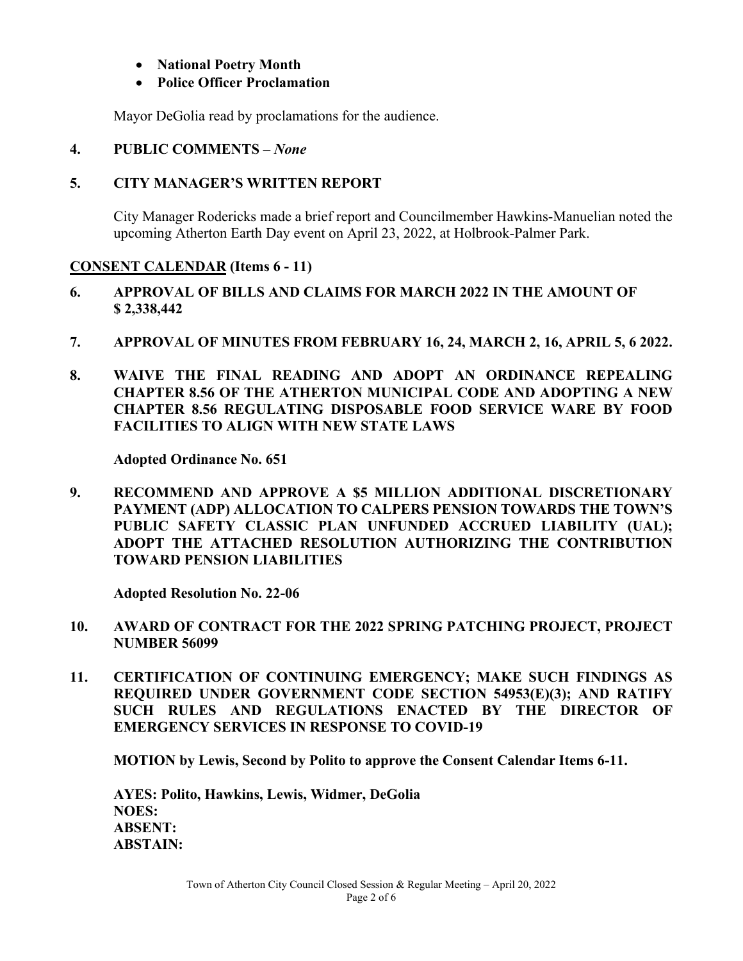# • **National Poetry Month**

# • **Police Officer Proclamation**

Mayor DeGolia read by proclamations for the audience.

**4. PUBLIC COMMENTS –** *None* 

# **5. CITY MANAGER'S WRITTEN REPORT**

City Manager Rodericks made a brief report and Councilmember Hawkins-Manuelian noted the upcoming Atherton Earth Day event on April 23, 2022, at Holbrook-Palmer Park.

# **CONSENT CALENDAR (Items 6 - 11)**

- **6. APPROVAL OF BILLS AND CLAIMS FOR MARCH 2022 IN THE AMOUNT OF \$ 2,338,442**
- **7. APPROVAL OF MINUTES FROM FEBRUARY 16, 24, MARCH 2, 16, APRIL 5, 6 2022.**
- **8. WAIVE THE FINAL READING AND ADOPT AN ORDINANCE REPEALING CHAPTER 8.56 OF THE ATHERTON MUNICIPAL CODE AND ADOPTING A NEW CHAPTER 8.56 REGULATING DISPOSABLE FOOD SERVICE WARE BY FOOD FACILITIES TO ALIGN WITH NEW STATE LAWS**

**Adopted Ordinance No. 651** 

**9. RECOMMEND AND APPROVE A \$5 MILLION ADDITIONAL DISCRETIONARY PAYMENT (ADP) ALLOCATION TO CALPERS PENSION TOWARDS THE TOWN'S PUBLIC SAFETY CLASSIC PLAN UNFUNDED ACCRUED LIABILITY (UAL); ADOPT THE ATTACHED RESOLUTION AUTHORIZING THE CONTRIBUTION TOWARD PENSION LIABILITIES**

 **Adopted Resolution No. 22-06** 

- **10. AWARD OF CONTRACT FOR THE 2022 SPRING PATCHING PROJECT, PROJECT NUMBER 56099**
- **11. CERTIFICATION OF CONTINUING EMERGENCY; MAKE SUCH FINDINGS AS REQUIRED UNDER GOVERNMENT CODE SECTION 54953(E)(3); AND RATIFY SUCH RULES AND REGULATIONS ENACTED BY THE DIRECTOR OF EMERGENCY SERVICES IN RESPONSE TO COVID-19**

 **MOTION by Lewis, Second by Polito to approve the Consent Calendar Items 6-11.** 

**AYES: Polito, Hawkins, Lewis, Widmer, DeGolia NOES: ABSENT: ABSTAIN:**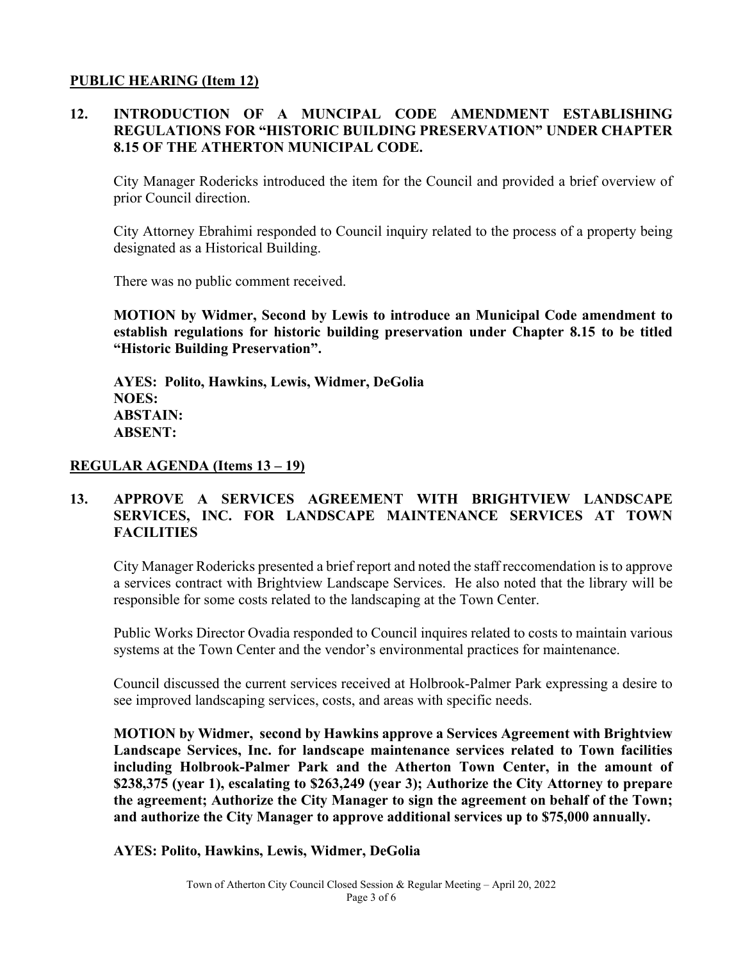#### **PUBLIC HEARING (Item 12)**

# **12. INTRODUCTION OF A MUNCIPAL CODE AMENDMENT ESTABLISHING REGULATIONS FOR "HISTORIC BUILDING PRESERVATION" UNDER CHAPTER 8.15 OF THE ATHERTON MUNICIPAL CODE.**

City Manager Rodericks introduced the item for the Council and provided a brief overview of prior Council direction.

City Attorney Ebrahimi responded to Council inquiry related to the process of a property being designated as a Historical Building.

There was no public comment received.

**MOTION by Widmer, Second by Lewis to introduce an Municipal Code amendment to establish regulations for historic building preservation under Chapter 8.15 to be titled "Historic Building Preservation".** 

**AYES: Polito, Hawkins, Lewis, Widmer, DeGolia NOES: ABSTAIN: ABSENT:** 

#### **REGULAR AGENDA (Items 13 – 19)**

#### **13. APPROVE A SERVICES AGREEMENT WITH BRIGHTVIEW LANDSCAPE SERVICES, INC. FOR LANDSCAPE MAINTENANCE SERVICES AT TOWN FACILITIES**

City Manager Rodericks presented a brief report and noted the staff reccomendation is to approve a services contract with Brightview Landscape Services. He also noted that the library will be responsible for some costs related to the landscaping at the Town Center.

Public Works Director Ovadia responded to Council inquires related to costs to maintain various systems at the Town Center and the vendor's environmental practices for maintenance.

Council discussed the current services received at Holbrook-Palmer Park expressing a desire to see improved landscaping services, costs, and areas with specific needs.

**MOTION by Widmer, second by Hawkins approve a Services Agreement with Brightview Landscape Services, Inc. for landscape maintenance services related to Town facilities including Holbrook-Palmer Park and the Atherton Town Center, in the amount of \$238,375 (year 1), escalating to \$263,249 (year 3); Authorize the City Attorney to prepare the agreement; Authorize the City Manager to sign the agreement on behalf of the Town; and authorize the City Manager to approve additional services up to \$75,000 annually.** 

**AYES: Polito, Hawkins, Lewis, Widmer, DeGolia**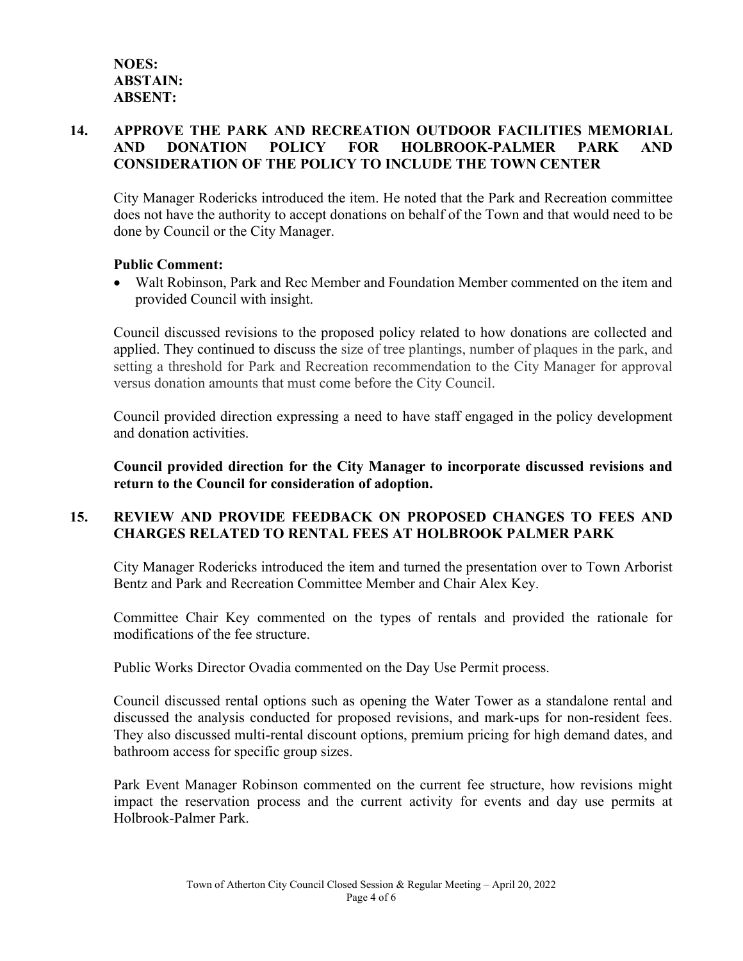# **14. APPROVE THE PARK AND RECREATION OUTDOOR FACILITIES MEMORIAL AND DONATION POLICY FOR HOLBROOK-PALMER PARK AND CONSIDERATION OF THE POLICY TO INCLUDE THE TOWN CENTER**

City Manager Rodericks introduced the item. He noted that the Park and Recreation committee does not have the authority to accept donations on behalf of the Town and that would need to be done by Council or the City Manager.

#### **Public Comment:**

• Walt Robinson, Park and Rec Member and Foundation Member commented on the item and provided Council with insight.

Council discussed revisions to the proposed policy related to how donations are collected and applied. They continued to discuss the size of tree plantings, number of plaques in the park, and setting a threshold for Park and Recreation recommendation to the City Manager for approval versus donation amounts that must come before the City Council.

Council provided direction expressing a need to have staff engaged in the policy development and donation activities.

**Council provided direction for the City Manager to incorporate discussed revisions and return to the Council for consideration of adoption.** 

# **15. REVIEW AND PROVIDE FEEDBACK ON PROPOSED CHANGES TO FEES AND CHARGES RELATED TO RENTAL FEES AT HOLBROOK PALMER PARK**

City Manager Rodericks introduced the item and turned the presentation over to Town Arborist Bentz and Park and Recreation Committee Member and Chair Alex Key.

Committee Chair Key commented on the types of rentals and provided the rationale for modifications of the fee structure.

Public Works Director Ovadia commented on the Day Use Permit process.

Council discussed rental options such as opening the Water Tower as a standalone rental and discussed the analysis conducted for proposed revisions, and mark-ups for non-resident fees. They also discussed multi-rental discount options, premium pricing for high demand dates, and bathroom access for specific group sizes.

Park Event Manager Robinson commented on the current fee structure, how revisions might impact the reservation process and the current activity for events and day use permits at Holbrook-Palmer Park.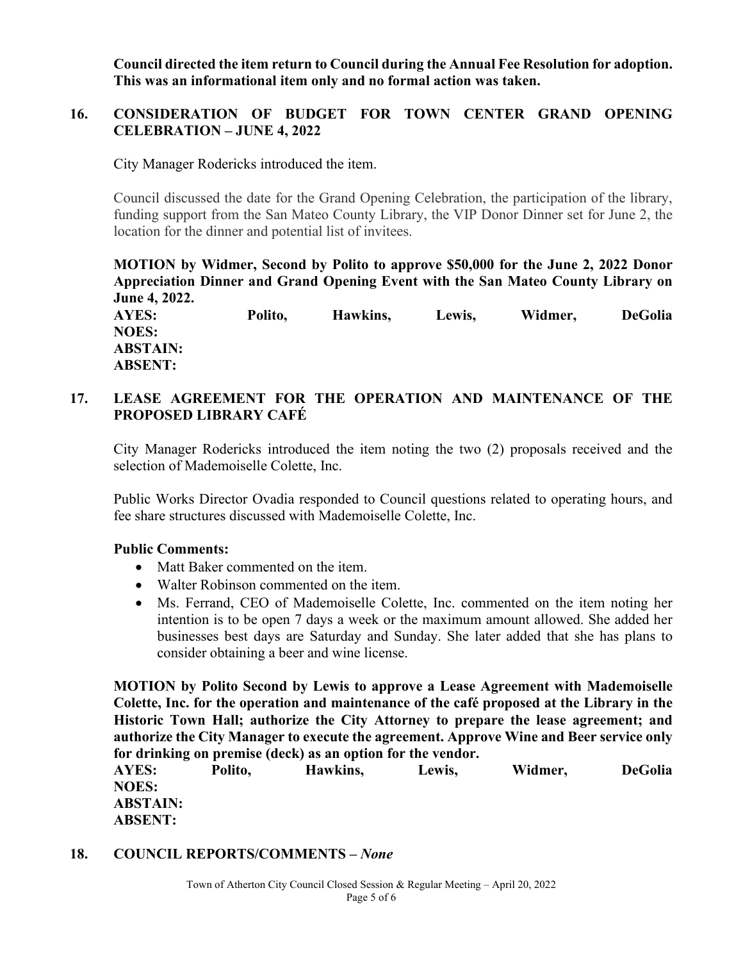**Council directed the item return to Council during the Annual Fee Resolution for adoption. This was an informational item only and no formal action was taken.** 

# **16. CONSIDERATION OF BUDGET FOR TOWN CENTER GRAND OPENING CELEBRATION – JUNE 4, 2022**

City Manager Rodericks introduced the item.

Council discussed the date for the Grand Opening Celebration, the participation of the library, funding support from the San Mateo County Library, the VIP Donor Dinner set for June 2, the location for the dinner and potential list of invitees.

**MOTION by Widmer, Second by Polito to approve \$50,000 for the June 2, 2022 Donor Appreciation Dinner and Grand Opening Event with the San Mateo County Library on June 4, 2022.** 

**AYES: Polito, Hawkins, Lewis, Widmer, DeGolia NOES: ABSTAIN: ABSENT:**

# **17. LEASE AGREEMENT FOR THE OPERATION AND MAINTENANCE OF THE PROPOSED LIBRARY CAFÉ**

City Manager Rodericks introduced the item noting the two (2) proposals received and the selection of Mademoiselle Colette, Inc.

Public Works Director Ovadia responded to Council questions related to operating hours, and fee share structures discussed with Mademoiselle Colette, Inc.

# **Public Comments:**

- Matt Baker commented on the item.
- Walter Robinson commented on the item.
- Ms. Ferrand, CEO of Mademoiselle Colette, Inc. commented on the item noting her intention is to be open 7 days a week or the maximum amount allowed. She added her businesses best days are Saturday and Sunday. She later added that she has plans to consider obtaining a beer and wine license.

**MOTION by Polito Second by Lewis to approve a Lease Agreement with Mademoiselle Colette, Inc. for the operation and maintenance of the café proposed at the Library in the Historic Town Hall; authorize the City Attorney to prepare the lease agreement; and authorize the City Manager to execute the agreement. Approve Wine and Beer service only for drinking on premise (deck) as an option for the vendor.** 

**AYES: Polito, Hawkins, Lewis, Widmer, DeGolia NOES: ABSTAIN: ABSENT:**

# **18. COUNCIL REPORTS/COMMENTS –** *None*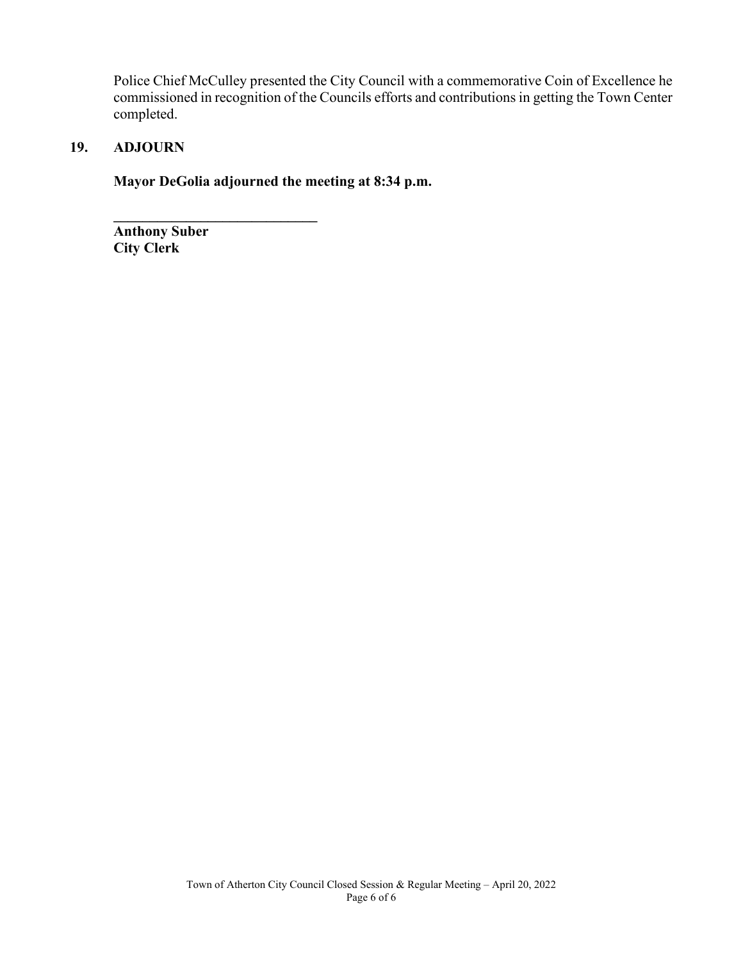Police Chief McCulley presented the City Council with a commemorative Coin of Excellence he commissioned in recognition of the Councils efforts and contributions in getting the Town Center completed.

# **19. ADJOURN**

**Mayor DeGolia adjourned the meeting at 8:34 p.m.**

**\_\_\_\_\_\_\_\_\_\_\_\_\_\_\_\_\_\_\_\_\_\_\_\_\_\_\_\_ Anthony Suber City Clerk**